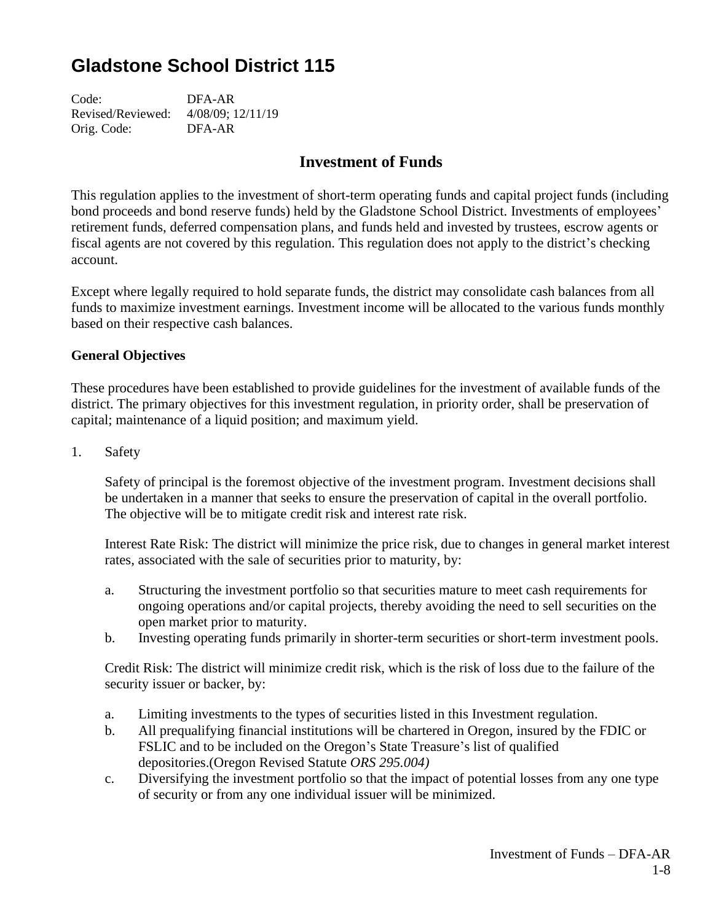# **Gladstone School District 115**

Code: DFA-AR Revised/Reviewed: 4/08/09; 12/11/19 Orig. Code: DFA-AR

# **Investment of Funds**

This regulation applies to the investment of short-term operating funds and capital project funds (including bond proceeds and bond reserve funds) held by the Gladstone School District. Investments of employees' retirement funds, deferred compensation plans, and funds held and invested by trustees, escrow agents or fiscal agents are not covered by this regulation. This regulation does not apply to the district's checking account.

Except where legally required to hold separate funds, the district may consolidate cash balances from all funds to maximize investment earnings. Investment income will be allocated to the various funds monthly based on their respective cash balances.

#### **General Objectives**

These procedures have been established to provide guidelines for the investment of available funds of the district. The primary objectives for this investment regulation, in priority order, shall be preservation of capital; maintenance of a liquid position; and maximum yield.

1. Safety

Safety of principal is the foremost objective of the investment program. Investment decisions shall be undertaken in a manner that seeks to ensure the preservation of capital in the overall portfolio. The objective will be to mitigate credit risk and interest rate risk.

Interest Rate Risk: The district will minimize the price risk, due to changes in general market interest rates, associated with the sale of securities prior to maturity, by:

- a. Structuring the investment portfolio so that securities mature to meet cash requirements for ongoing operations and/or capital projects, thereby avoiding the need to sell securities on the open market prior to maturity.
- b. Investing operating funds primarily in shorter-term securities or short-term investment pools.

Credit Risk: The district will minimize credit risk, which is the risk of loss due to the failure of the security issuer or backer, by:

- a. Limiting investments to the types of securities listed in this Investment regulation.
- b. All prequalifying financial institutions will be chartered in Oregon, insured by the FDIC or FSLIC and to be included on the Oregon's State Treasure's list of qualified depositories.(Oregon Revised Statute *ORS 295.004)*
- c. Diversifying the investment portfolio so that the impact of potential losses from any one type of security or from any one individual issuer will be minimized.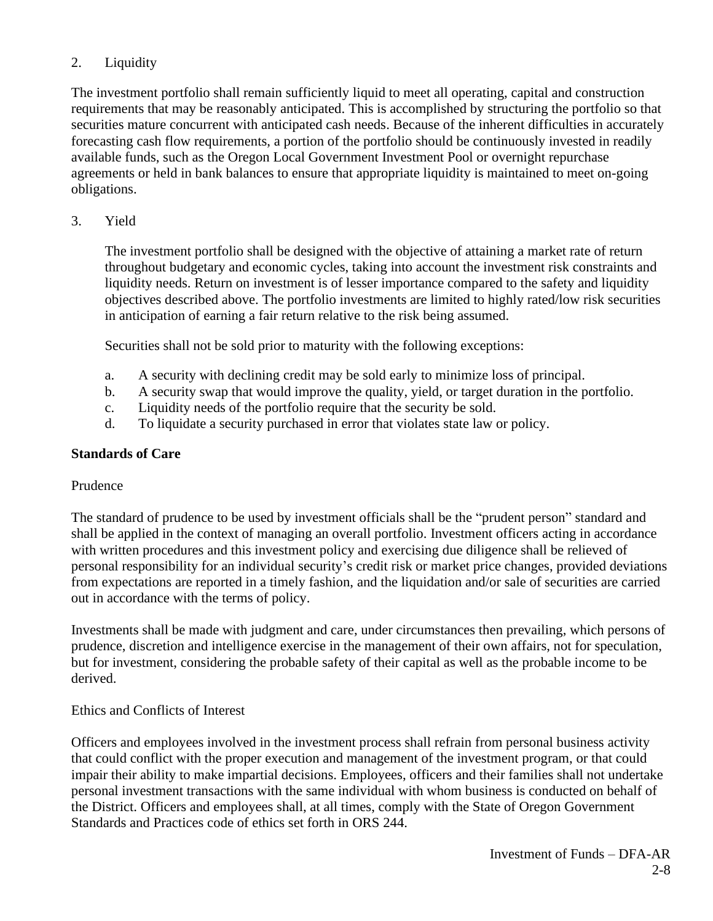# 2. Liquidity

The investment portfolio shall remain sufficiently liquid to meet all operating, capital and construction requirements that may be reasonably anticipated. This is accomplished by structuring the portfolio so that securities mature concurrent with anticipated cash needs. Because of the inherent difficulties in accurately forecasting cash flow requirements, a portion of the portfolio should be continuously invested in readily available funds, such as the Oregon Local Government Investment Pool or overnight repurchase agreements or held in bank balances to ensure that appropriate liquidity is maintained to meet on-going obligations.

#### 3. Yield

The investment portfolio shall be designed with the objective of attaining a market rate of return throughout budgetary and economic cycles, taking into account the investment risk constraints and liquidity needs. Return on investment is of lesser importance compared to the safety and liquidity objectives described above. The portfolio investments are limited to highly rated/low risk securities in anticipation of earning a fair return relative to the risk being assumed.

Securities shall not be sold prior to maturity with the following exceptions:

- a. A security with declining credit may be sold early to minimize loss of principal.
- b. A security swap that would improve the quality, yield, or target duration in the portfolio.
- c. Liquidity needs of the portfolio require that the security be sold.
- d. To liquidate a security purchased in error that violates state law or policy.

## **Standards of Care**

#### Prudence

The standard of prudence to be used by investment officials shall be the "prudent person" standard and shall be applied in the context of managing an overall portfolio. Investment officers acting in accordance with written procedures and this investment policy and exercising due diligence shall be relieved of personal responsibility for an individual security's credit risk or market price changes, provided deviations from expectations are reported in a timely fashion, and the liquidation and/or sale of securities are carried out in accordance with the terms of policy.

Investments shall be made with judgment and care, under circumstances then prevailing, which persons of prudence, discretion and intelligence exercise in the management of their own affairs, not for speculation, but for investment, considering the probable safety of their capital as well as the probable income to be derived.

#### Ethics and Conflicts of Interest

Officers and employees involved in the investment process shall refrain from personal business activity that could conflict with the proper execution and management of the investment program, or that could impair their ability to make impartial decisions. Employees, officers and their families shall not undertake personal investment transactions with the same individual with whom business is conducted on behalf of the District. Officers and employees shall, at all times, comply with the State of Oregon Government Standards and Practices code of ethics set forth in ORS 244.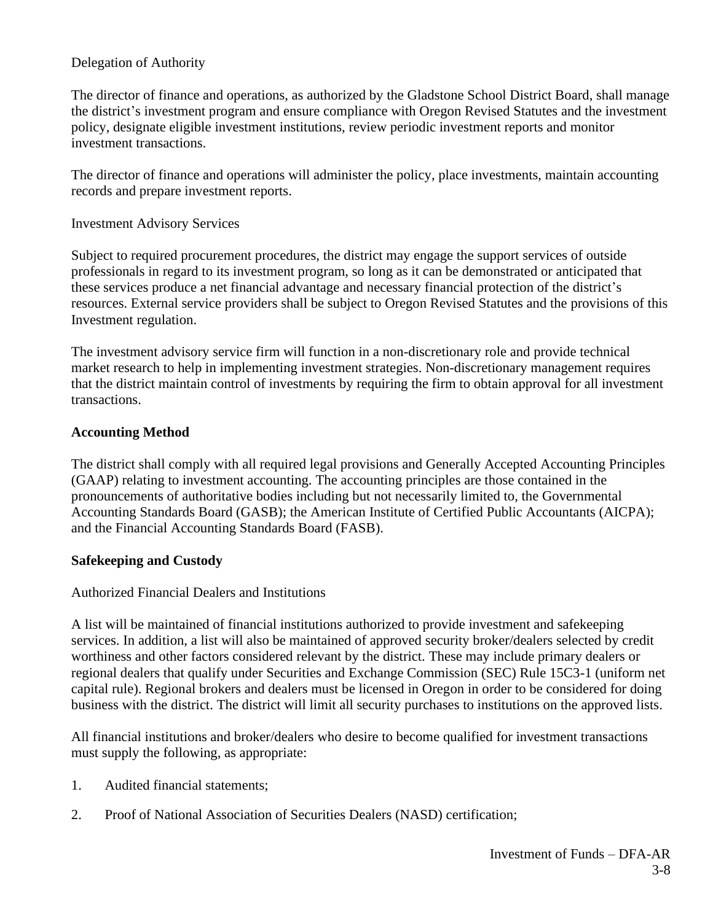#### Delegation of Authority

The director of finance and operations, as authorized by the Gladstone School District Board, shall manage the district's investment program and ensure compliance with Oregon Revised Statutes and the investment policy, designate eligible investment institutions, review periodic investment reports and monitor investment transactions.

The director of finance and operations will administer the policy, place investments, maintain accounting records and prepare investment reports.

#### Investment Advisory Services

Subject to required procurement procedures, the district may engage the support services of outside professionals in regard to its investment program, so long as it can be demonstrated or anticipated that these services produce a net financial advantage and necessary financial protection of the district's resources. External service providers shall be subject to Oregon Revised Statutes and the provisions of this Investment regulation.

The investment advisory service firm will function in a non-discretionary role and provide technical market research to help in implementing investment strategies. Non-discretionary management requires that the district maintain control of investments by requiring the firm to obtain approval for all investment transactions.

#### **Accounting Method**

The district shall comply with all required legal provisions and Generally Accepted Accounting Principles (GAAP) relating to investment accounting. The accounting principles are those contained in the pronouncements of authoritative bodies including but not necessarily limited to, the Governmental Accounting Standards Board (GASB); the American Institute of Certified Public Accountants (AICPA); and the Financial Accounting Standards Board (FASB).

#### **Safekeeping and Custody**

#### Authorized Financial Dealers and Institutions

A list will be maintained of financial institutions authorized to provide investment and safekeeping services. In addition, a list will also be maintained of approved security broker/dealers selected by credit worthiness and other factors considered relevant by the district. These may include primary dealers or regional dealers that qualify under Securities and Exchange Commission (SEC) Rule 15C3-1 (uniform net capital rule). Regional brokers and dealers must be licensed in Oregon in order to be considered for doing business with the district. The district will limit all security purchases to institutions on the approved lists.

All financial institutions and broker/dealers who desire to become qualified for investment transactions must supply the following, as appropriate:

- 1. Audited financial statements;
- 2. Proof of National Association of Securities Dealers (NASD) certification;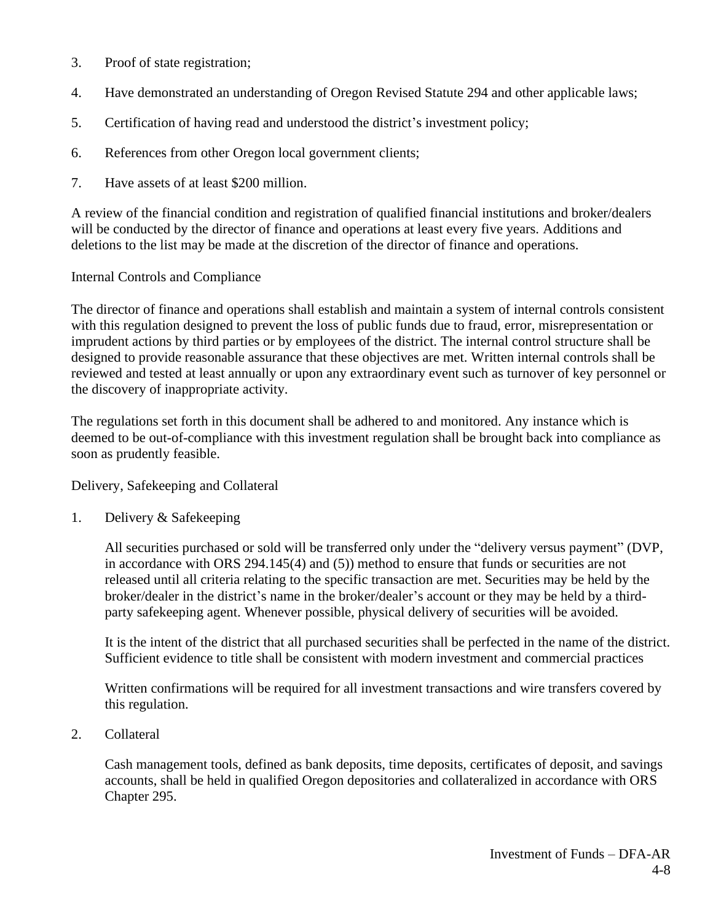- 3. Proof of state registration;
- 4. Have demonstrated an understanding of Oregon Revised Statute 294 and other applicable laws;
- 5. Certification of having read and understood the district's investment policy;
- 6. References from other Oregon local government clients;
- 7. Have assets of at least \$200 million.

A review of the financial condition and registration of qualified financial institutions and broker/dealers will be conducted by the director of finance and operations at least every five years. Additions and deletions to the list may be made at the discretion of the director of finance and operations.

## Internal Controls and Compliance

The director of finance and operations shall establish and maintain a system of internal controls consistent with this regulation designed to prevent the loss of public funds due to fraud, error, misrepresentation or imprudent actions by third parties or by employees of the district. The internal control structure shall be designed to provide reasonable assurance that these objectives are met. Written internal controls shall be reviewed and tested at least annually or upon any extraordinary event such as turnover of key personnel or the discovery of inappropriate activity.

The regulations set forth in this document shall be adhered to and monitored. Any instance which is deemed to be out-of-compliance with this investment regulation shall be brought back into compliance as soon as prudently feasible.

#### Delivery, Safekeeping and Collateral

1. Delivery & Safekeeping

All securities purchased or sold will be transferred only under the "delivery versus payment" (DVP, in accordance with ORS 294.145(4) and (5)) method to ensure that funds or securities are not released until all criteria relating to the specific transaction are met. Securities may be held by the broker/dealer in the district's name in the broker/dealer's account or they may be held by a thirdparty safekeeping agent. Whenever possible, physical delivery of securities will be avoided.

It is the intent of the district that all purchased securities shall be perfected in the name of the district. Sufficient evidence to title shall be consistent with modern investment and commercial practices

Written confirmations will be required for all investment transactions and wire transfers covered by this regulation.

2. Collateral

Cash management tools, defined as bank deposits, time deposits, certificates of deposit, and savings accounts, shall be held in qualified Oregon depositories and collateralized in accordance with ORS Chapter 295.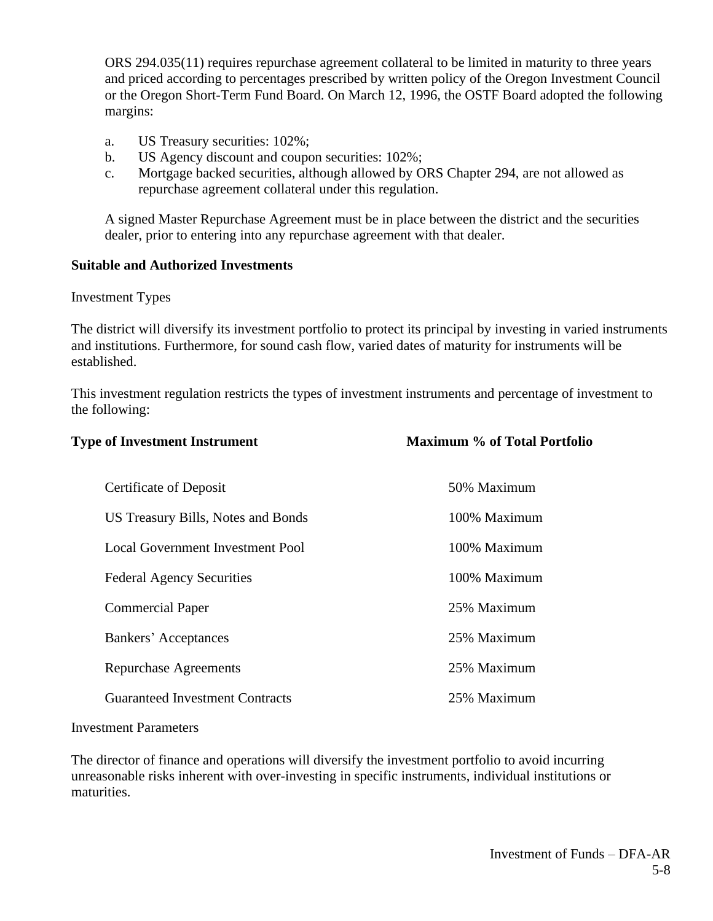ORS 294.035(11) requires repurchase agreement collateral to be limited in maturity to three years and priced according to percentages prescribed by written policy of the Oregon Investment Council or the Oregon Short-Term Fund Board. On March 12, 1996, the OSTF Board adopted the following margins:

- a. US Treasury securities: 102%;
- b. US Agency discount and coupon securities: 102%;
- c. Mortgage backed securities, although allowed by ORS Chapter 294, are not allowed as repurchase agreement collateral under this regulation.

A signed Master Repurchase Agreement must be in place between the district and the securities dealer, prior to entering into any repurchase agreement with that dealer.

#### **Suitable and Authorized Investments**

Investment Types

The district will diversify its investment portfolio to protect its principal by investing in varied instruments and institutions. Furthermore, for sound cash flow, varied dates of maturity for instruments will be established.

This investment regulation restricts the types of investment instruments and percentage of investment to the following:

| <b>Type of Investment Instrument</b>   | <b>Maximum % of Total Portfolio</b> |
|----------------------------------------|-------------------------------------|
| <b>Certificate of Deposit</b>          | 50% Maximum                         |
| US Treasury Bills, Notes and Bonds     | 100% Maximum                        |
| Local Government Investment Pool       | 100% Maximum                        |
| <b>Federal Agency Securities</b>       | 100% Maximum                        |
| <b>Commercial Paper</b>                | 25% Maximum                         |
| Bankers' Acceptances                   | 25% Maximum                         |
| Repurchase Agreements                  | 25% Maximum                         |
| <b>Guaranteed Investment Contracts</b> | 25% Maximum                         |
|                                        |                                     |

#### Investment Parameters

The director of finance and operations will diversify the investment portfolio to avoid incurring unreasonable risks inherent with over-investing in specific instruments, individual institutions or maturities.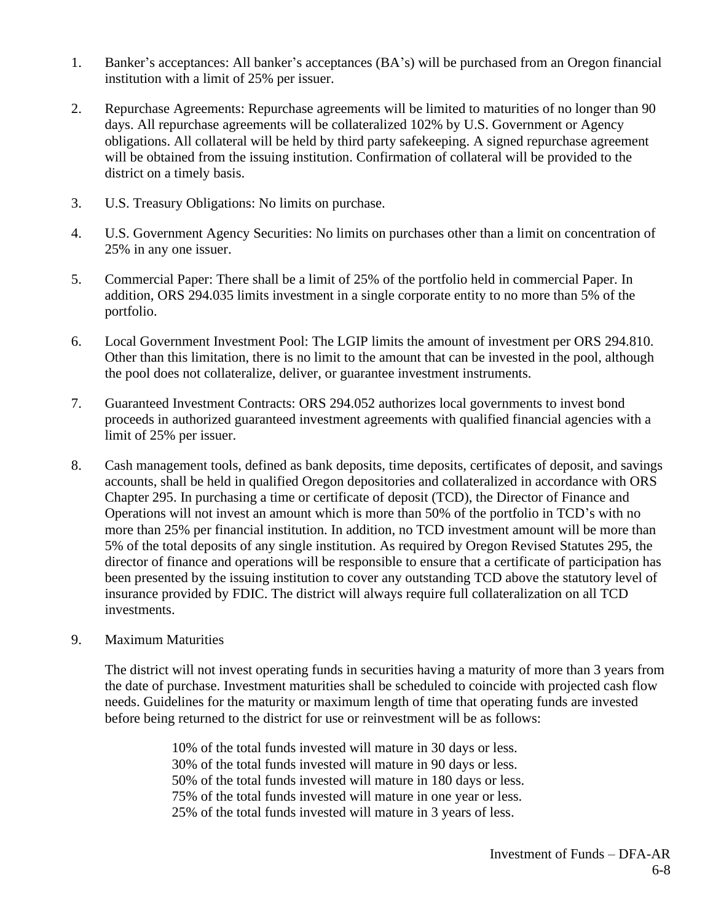- 1. Banker's acceptances: All banker's acceptances (BA's) will be purchased from an Oregon financial institution with a limit of 25% per issuer.
- 2. Repurchase Agreements: Repurchase agreements will be limited to maturities of no longer than 90 days. All repurchase agreements will be collateralized 102% by U.S. Government or Agency obligations. All collateral will be held by third party safekeeping. A signed repurchase agreement will be obtained from the issuing institution. Confirmation of collateral will be provided to the district on a timely basis.
- 3. U.S. Treasury Obligations: No limits on purchase.
- 4. U.S. Government Agency Securities: No limits on purchases other than a limit on concentration of 25% in any one issuer.
- 5. Commercial Paper: There shall be a limit of 25% of the portfolio held in commercial Paper. In addition, ORS 294.035 limits investment in a single corporate entity to no more than 5% of the portfolio.
- 6. Local Government Investment Pool: The LGIP limits the amount of investment per ORS 294.810. Other than this limitation, there is no limit to the amount that can be invested in the pool, although the pool does not collateralize, deliver, or guarantee investment instruments.
- 7. Guaranteed Investment Contracts: ORS 294.052 authorizes local governments to invest bond proceeds in authorized guaranteed investment agreements with qualified financial agencies with a limit of 25% per issuer.
- 8. Cash management tools, defined as bank deposits, time deposits, certificates of deposit, and savings accounts, shall be held in qualified Oregon depositories and collateralized in accordance with ORS Chapter 295. In purchasing a time or certificate of deposit (TCD), the Director of Finance and Operations will not invest an amount which is more than 50% of the portfolio in TCD's with no more than 25% per financial institution. In addition, no TCD investment amount will be more than 5% of the total deposits of any single institution. As required by Oregon Revised Statutes 295, the director of finance and operations will be responsible to ensure that a certificate of participation has been presented by the issuing institution to cover any outstanding TCD above the statutory level of insurance provided by FDIC. The district will always require full collateralization on all TCD investments.
- 9. Maximum Maturities

The district will not invest operating funds in securities having a maturity of more than 3 years from the date of purchase. Investment maturities shall be scheduled to coincide with projected cash flow needs. Guidelines for the maturity or maximum length of time that operating funds are invested before being returned to the district for use or reinvestment will be as follows:

> 10% of the total funds invested will mature in 30 days or less. 30% of the total funds invested will mature in 90 days or less. 50% of the total funds invested will mature in 180 days or less. 75% of the total funds invested will mature in one year or less. 25% of the total funds invested will mature in 3 years of less.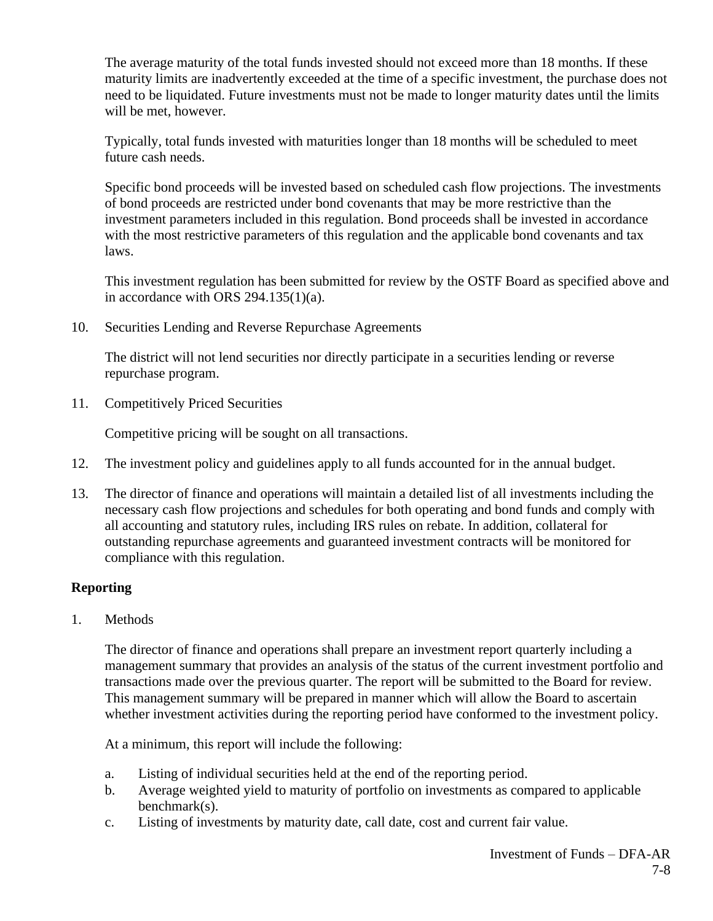The average maturity of the total funds invested should not exceed more than 18 months. If these maturity limits are inadvertently exceeded at the time of a specific investment, the purchase does not need to be liquidated. Future investments must not be made to longer maturity dates until the limits will be met, however.

Typically, total funds invested with maturities longer than 18 months will be scheduled to meet future cash needs.

Specific bond proceeds will be invested based on scheduled cash flow projections. The investments of bond proceeds are restricted under bond covenants that may be more restrictive than the investment parameters included in this regulation. Bond proceeds shall be invested in accordance with the most restrictive parameters of this regulation and the applicable bond covenants and tax laws.

This investment regulation has been submitted for review by the OSTF Board as specified above and in accordance with ORS  $294.135(1)(a)$ .

10. Securities Lending and Reverse Repurchase Agreements

The district will not lend securities nor directly participate in a securities lending or reverse repurchase program.

11. Competitively Priced Securities

Competitive pricing will be sought on all transactions.

- 12. The investment policy and guidelines apply to all funds accounted for in the annual budget.
- 13. The director of finance and operations will maintain a detailed list of all investments including the necessary cash flow projections and schedules for both operating and bond funds and comply with all accounting and statutory rules, including IRS rules on rebate. In addition, collateral for outstanding repurchase agreements and guaranteed investment contracts will be monitored for compliance with this regulation.

# **Reporting**

1. Methods

The director of finance and operations shall prepare an investment report quarterly including a management summary that provides an analysis of the status of the current investment portfolio and transactions made over the previous quarter. The report will be submitted to the Board for review. This management summary will be prepared in manner which will allow the Board to ascertain whether investment activities during the reporting period have conformed to the investment policy.

At a minimum, this report will include the following:

- a. Listing of individual securities held at the end of the reporting period.
- b. Average weighted yield to maturity of portfolio on investments as compared to applicable benchmark(s).
- c. Listing of investments by maturity date, call date, cost and current fair value.